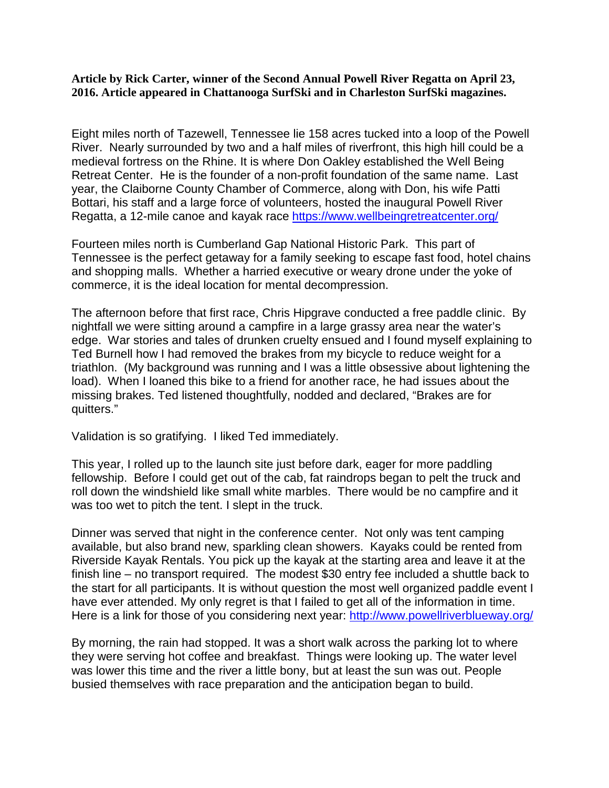**Article by Rick Carter, winner of the Second Annual Powell River Regatta on April 23, 2016. Article appeared in Chattanooga SurfSki and in Charleston SurfSki magazines.**

Eight miles north of Tazewell, Tennessee lie 158 acres tucked into a loop of the Powell River. Nearly surrounded by two and a half miles of riverfront, this high hill could be a medieval fortress on the Rhine. It is where Don Oakley established the Well Being Retreat Center. He is the founder of a non-profit foundation of the same name. Last year, the Claiborne County Chamber of Commerce, along with Don, his wife Patti Bottari, his staff and a large force of volunteers, hosted the inaugural Powell River Regatta, a 12-mile canoe and kayak race <https://www.wellbeingretreatcenter.org/>

Fourteen miles north is Cumberland Gap National Historic Park. This part of Tennessee is the perfect getaway for a family seeking to escape fast food, hotel chains and shopping malls. Whether a harried executive or weary drone under the yoke of commerce, it is the ideal location for mental decompression.

The afternoon before that first race, Chris Hipgrave conducted a free paddle clinic. By nightfall we were sitting around a campfire in a large grassy area near the water's edge. War stories and tales of drunken cruelty ensued and I found myself explaining to Ted Burnell how I had removed the brakes from my bicycle to reduce weight for a triathlon. (My background was running and I was a little obsessive about lightening the load). When I loaned this bike to a friend for another race, he had issues about the missing brakes. Ted listened thoughtfully, nodded and declared, "Brakes are for quitters."

Validation is so gratifying. I liked Ted immediately.

This year, I rolled up to the launch site just before dark, eager for more paddling fellowship. Before I could get out of the cab, fat raindrops began to pelt the truck and roll down the windshield like small white marbles. There would be no campfire and it was too wet to pitch the tent. I slept in the truck.

Dinner was served that night in the conference center. Not only was tent camping available, but also brand new, sparkling clean showers. Kayaks could be rented from Riverside Kayak Rentals. You pick up the kayak at the starting area and leave it at the finish line – no transport required. The modest \$30 entry fee included a shuttle back to the start for all participants. It is without question the most well organized paddle event I have ever attended. My only regret is that I failed to get all of the information in time. Here is a link for those of you considering next year:<http://www.powellriverblueway.org/>

By morning, the rain had stopped. It was a short walk across the parking lot to where they were serving hot coffee and breakfast. Things were looking up. The water level was lower this time and the river a little bony, but at least the sun was out. People busied themselves with race preparation and the anticipation began to build.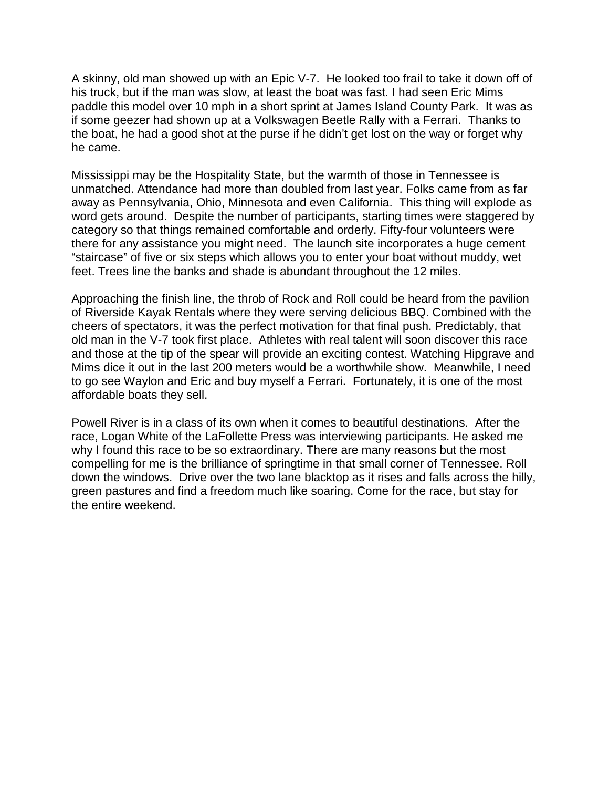A skinny, old man showed up with an Epic V-7. He looked too frail to take it down off of his truck, but if the man was slow, at least the boat was fast. I had seen Eric Mims paddle this model over 10 mph in a short sprint at James Island County Park. It was as if some geezer had shown up at a Volkswagen Beetle Rally with a Ferrari. Thanks to the boat, he had a good shot at the purse if he didn't get lost on the way or forget why he came.

Mississippi may be the Hospitality State, but the warmth of those in Tennessee is unmatched. Attendance had more than doubled from last year. Folks came from as far away as Pennsylvania, Ohio, Minnesota and even California. This thing will explode as word gets around. Despite the number of participants, starting times were staggered by category so that things remained comfortable and orderly. Fifty-four volunteers were there for any assistance you might need. The launch site incorporates a huge cement "staircase" of five or six steps which allows you to enter your boat without muddy, wet feet. Trees line the banks and shade is abundant throughout the 12 miles.

Approaching the finish line, the throb of Rock and Roll could be heard from the pavilion of Riverside Kayak Rentals where they were serving delicious BBQ. Combined with the cheers of spectators, it was the perfect motivation for that final push. Predictably, that old man in the V-7 took first place. Athletes with real talent will soon discover this race and those at the tip of the spear will provide an exciting contest. Watching Hipgrave and Mims dice it out in the last 200 meters would be a worthwhile show. Meanwhile, I need to go see Waylon and Eric and buy myself a Ferrari. Fortunately, it is one of the most affordable boats they sell.

Powell River is in a class of its own when it comes to beautiful destinations. After the race, Logan White of the LaFollette Press was interviewing participants. He asked me why I found this race to be so extraordinary. There are many reasons but the most compelling for me is the brilliance of springtime in that small corner of Tennessee. Roll down the windows. Drive over the two lane blacktop as it rises and falls across the hilly, green pastures and find a freedom much like soaring. Come for the race, but stay for the entire weekend.